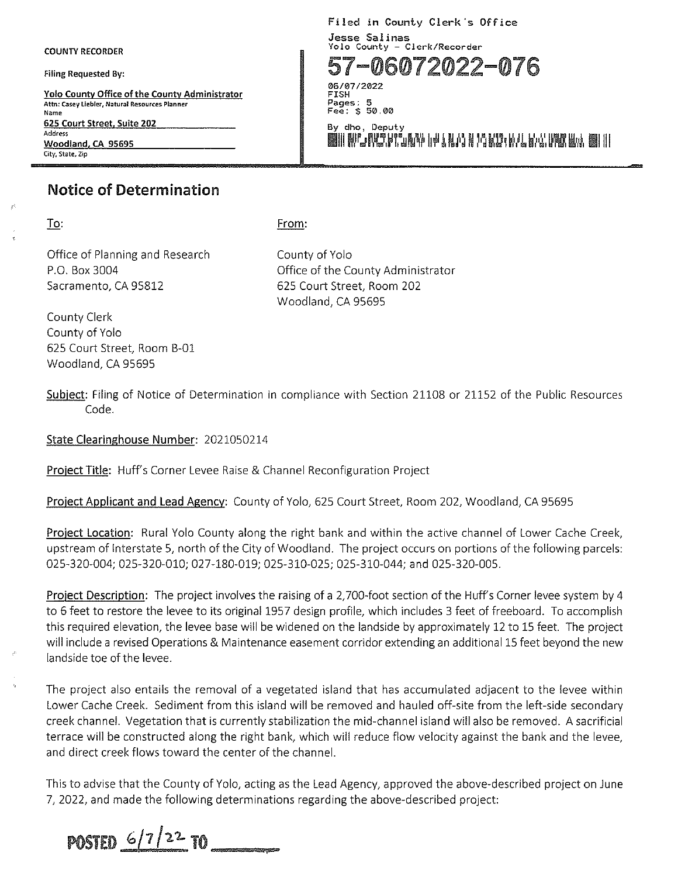COUNTY RECORDER

**Filing Requested By:** 

**Yolo County Office of the County Administrator Attn: Casey Liebler, Natural Resources Planner Name 625 Court Street, Suite 202 Address**  Woodland, CA 95695 **City, State, Zip** 

## **Notice of Determination**

To:

From:

Office of Planning and Research P.O. Box 3004 Sacramento, CA 95812

County of Yolo Office of the County Administrator 625 Court Street, Room 202 Woodland, CA 95695

County Clerk County of Yolo 625 Court Street, Room B-01 Woodland, CA 95695

Subject: Filing of Notice of Determination in compliance with Section 21108 or 21152 of the Public Resources Code.

State Clearinghouse Number: 2021050214

Project Title: Huff's Corner Levee Raise & Channel Reconfiguration Project

Project Applicant and Lead Agency: County of Yolo, 625 Court Street, Room 202, Woodland, CA 95695

Project Location: Rural Yolo County along the right bank and within the active channel of Lower Cache Creek, upstream of Interstate 5, north of the City of Woodland. The project occurs on portions of the following parcels: 025-320-004; 025-320-010; 027-180-019; 025-310-025; 025-310-044; and 025-320-005.

Project Description: The project involves the raising of a 2,700-foot section of the Huff's Corner levee system by 4 to 6 feet to restore the levee to its original 1957 design profile, which includes 3 feet of freeboard. To accomplish this required elevation, the levee base will be widened on the landside by approximately 12 to 15 feet. The project will include a revised Operations & Maintenance easement corridor extending an additional 15 feet beyond the new landside toe of the levee.

The project also entails the removal of a vegetated island that has accumulated adjacent to the levee within Lower Cache Creek. Sediment from this island will be removed and hauled off-site from the left-side secondary creek channel. Vegetation that is currently stabilization the mid-channel island will also be removed. A sacrificial terrace will be constructed along the right bank, which will reduce flow velocity against the bank and the levee, and direct creek flows toward the center of the channel.

This to advise that the County of Yolo, acting as the Lead Agency, approved the above-described project on June 7, 2022, and made the following determinations regarding the above-described project:

POSTED  $6/7/2^2$  TO

Filed in County Clerk's Office **Jesse Salinas Yolo County - Clerk/Recorder** 

57-06072022-076

06/07/2022 FISH Pages: 5<br>Fee: \$ 50.00

**By dho, Deputy**  11 NG MATAGA 14 NA 2002 WANA WAKA WA 11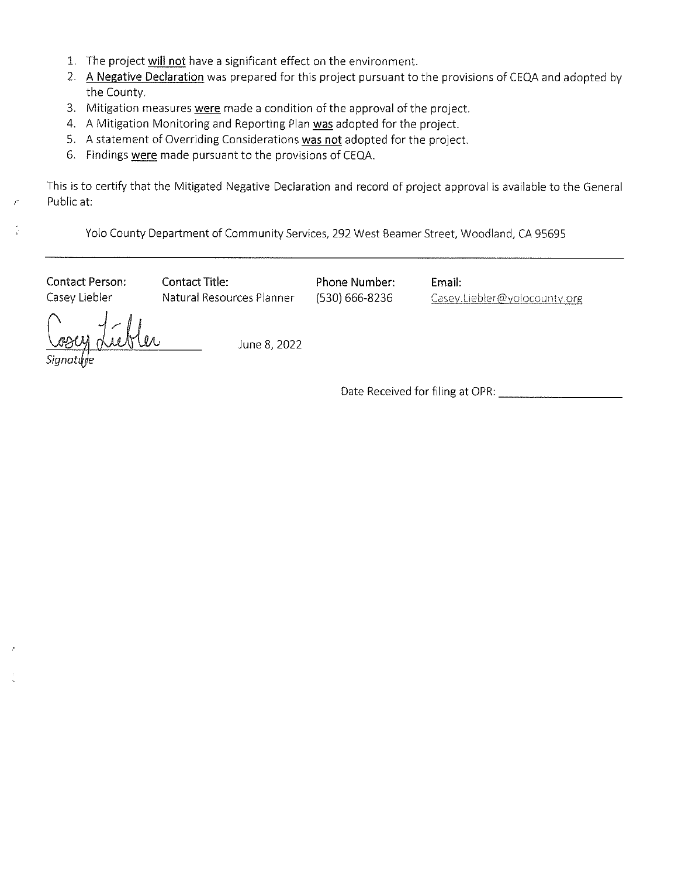- 1. The project will not have a significant effect on the environment.
- 2. A Negative Declaration was prepared for this project pursuant to the provisions of CEQA and adopted by the County.
- 3. Mitigation measures were made a condition of the approval of the project.
- 4. A Mitigation Monitoring and Reporting Plan was adopted for the project.
- 5. A statement of Overriding Considerations was not adopted for the project.
- 6. Findings were made pursuant to the provisions of CEQA.

This is to certify that the Mitigated Negative Declaration and record of project approval is available to the General Public at:

Yolo County Department of Community Services, 292 West Beamer Street, Woodland, CA 95695

Contact Person: Contact Title:

Casey Liebler **Natural Resources Planner** 

Phone Number: (530) 666-8236

Email: Casey.Liebler@yolocounty.org

June 8, 2022

Date Received for filing at OPR: